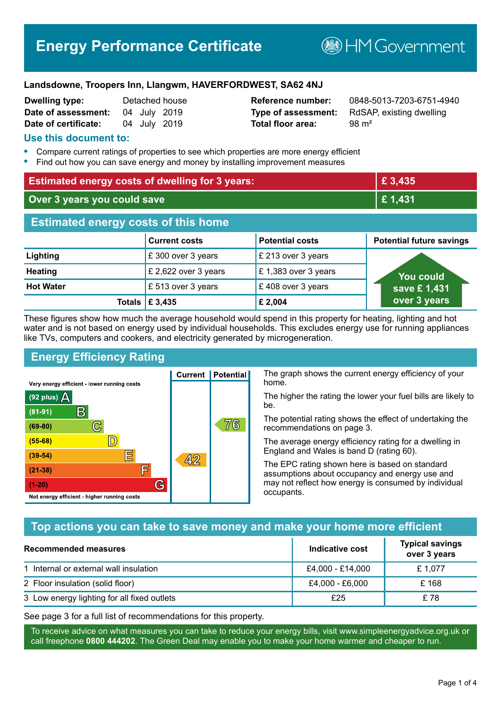# **Energy Performance Certificate**

**BHM Government** 

#### **Landsdowne, Troopers Inn, Llangwm, HAVERFORDWEST, SA62 4NJ**

| <b>Dwelling type:</b> |              | Detached house |
|-----------------------|--------------|----------------|
| Date of assessment:   | 04 July 2019 |                |
| Date of certificate:  | 04 July 2019 |                |

# **Total floor area:** 98 m<sup>2</sup>

**Reference number:** 0848-5013-7203-6751-4940 **Type of assessment:** RdSAP, existing dwelling

## **Use this document to:**

- **•** Compare current ratings of properties to see which properties are more energy efficient
- **•** Find out how you can save energy and money by installing improvement measures

| <b>Estimated energy costs of dwelling for 3 years:</b> |                           | £ 3,435                |                                 |
|--------------------------------------------------------|---------------------------|------------------------|---------------------------------|
| Over 3 years you could save                            |                           | £1,431                 |                                 |
| <b>Estimated energy costs of this home</b>             |                           |                        |                                 |
|                                                        | <b>Current costs</b>      | <b>Potential costs</b> | <b>Potential future savings</b> |
| Lighting                                               | £300 over 3 years         | £ 213 over 3 years     |                                 |
| <b>Heating</b>                                         | £ 2,622 over 3 years      | £1,383 over 3 years    | <b>You could</b>                |
| <b>Hot Water</b>                                       | £ 513 over 3 years        | £408 over 3 years      | save £1,431                     |
|                                                        | Totals $\mathsf{E}$ 3,435 | £ 2,004                | over 3 years                    |

These figures show how much the average household would spend in this property for heating, lighting and hot water and is not based on energy used by individual households. This excludes energy use for running appliances like TVs, computers and cookers, and electricity generated by microgeneration.

**Current | Potential** 

 $42$ 

# **Energy Efficiency Rating**

 $\mathbb{C}$ 

 $\mathbb{D}$ 

巨

庐

G

Very energy efficient - lower running costs

R

Not energy efficient - higher running costs

 $(92$  plus)

 $(81 - 91)$ 

 $(69 - 80)$ 

 $(55-68)$ 

 $(39 - 54)$ 

 $(21-38)$ 

 $(1-20)$ 

- 70

The graph shows the current energy efficiency of your home.

The higher the rating the lower your fuel bills are likely to be.

The potential rating shows the effect of undertaking the recommendations on page 3.

The average energy efficiency rating for a dwelling in England and Wales is band D (rating 60).

The EPC rating shown here is based on standard assumptions about occupancy and energy use and may not reflect how energy is consumed by individual occupants.

#### **Top actions you can take to save money and make your home more efficient**

76

| Recommended measures                        | Indicative cost  | <b>Typical savings</b><br>over 3 years |
|---------------------------------------------|------------------|----------------------------------------|
| 1 Internal or external wall insulation      | £4,000 - £14,000 | £1,077                                 |
| 2 Floor insulation (solid floor)            | £4,000 - £6,000  | £168                                   |
| 3 Low energy lighting for all fixed outlets | £25              | £78                                    |

See page 3 for a full list of recommendations for this property.

To receive advice on what measures you can take to reduce your energy bills, visit www.simpleenergyadvice.org.uk or call freephone **0800 444202**. The Green Deal may enable you to make your home warmer and cheaper to run.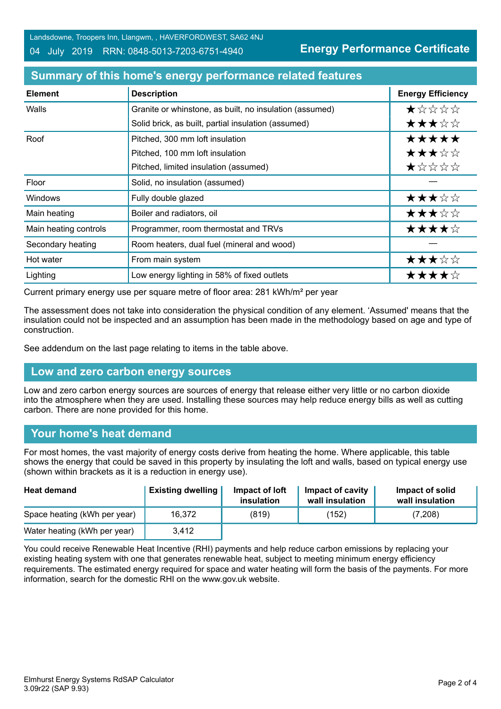Landsdowne, Troopers Inn, Llangwm, , HAVERFORDWEST, SA62 4NJ

04 July 2019 RRN: 0848-5013-7203-6751-4940

**Energy Performance Certificate**

| <b>Element</b>        | <b>Description</b>                                      | <b>Energy Efficiency</b> |
|-----------------------|---------------------------------------------------------|--------------------------|
| Walls                 | Granite or whinstone, as built, no insulation (assumed) | *****                    |
|                       | Solid brick, as built, partial insulation (assumed)     | ★★★☆☆                    |
| Roof                  | Pitched, 300 mm loft insulation                         | *****                    |
|                       | Pitched, 100 mm loft insulation                         | ★★★☆☆                    |
|                       | Pitched, limited insulation (assumed)                   | ★☆☆☆☆                    |
| Floor                 | Solid, no insulation (assumed)                          |                          |
| <b>Windows</b>        | Fully double glazed                                     | ★★★☆☆                    |
| Main heating          | Boiler and radiators, oil                               | ★★★☆☆                    |
| Main heating controls | Programmer, room thermostat and TRVs                    | ★★★★☆                    |
| Secondary heating     | Room heaters, dual fuel (mineral and wood)              |                          |
| Hot water             | From main system                                        | ★★★☆☆                    |
| Lighting              | Low energy lighting in 58% of fixed outlets             | ★★★★☆                    |

# **Summary of this home's energy performance related features**

Current primary energy use per square metre of floor area: 281 kWh/m² per year

The assessment does not take into consideration the physical condition of any element. 'Assumed' means that the insulation could not be inspected and an assumption has been made in the methodology based on age and type of construction.

See addendum on the last page relating to items in the table above.

# **Low and zero carbon energy sources**

Low and zero carbon energy sources are sources of energy that release either very little or no carbon dioxide into the atmosphere when they are used. Installing these sources may help reduce energy bills as well as cutting carbon. There are none provided for this home.

#### **Your home's heat demand**

For most homes, the vast majority of energy costs derive from heating the home. Where applicable, this table shows the energy that could be saved in this property by insulating the loft and walls, based on typical energy use (shown within brackets as it is a reduction in energy use).

| <b>Heat demand</b>           | <b>Existing dwelling</b> | Impact of loft<br>insulation | Impact of cavity<br>wall insulation | Impact of solid<br>wall insulation |
|------------------------------|--------------------------|------------------------------|-------------------------------------|------------------------------------|
| Space heating (kWh per year) | 16,372                   | (819)                        | (152)                               | (7,208)                            |
| Water heating (kWh per year) | 3,412                    |                              |                                     |                                    |

You could receive Renewable Heat Incentive (RHI) payments and help reduce carbon emissions by replacing your existing heating system with one that generates renewable heat, subject to meeting minimum energy efficiency requirements. The estimated energy required for space and water heating will form the basis of the payments. For more information, search for the domestic RHI on the www.gov.uk website.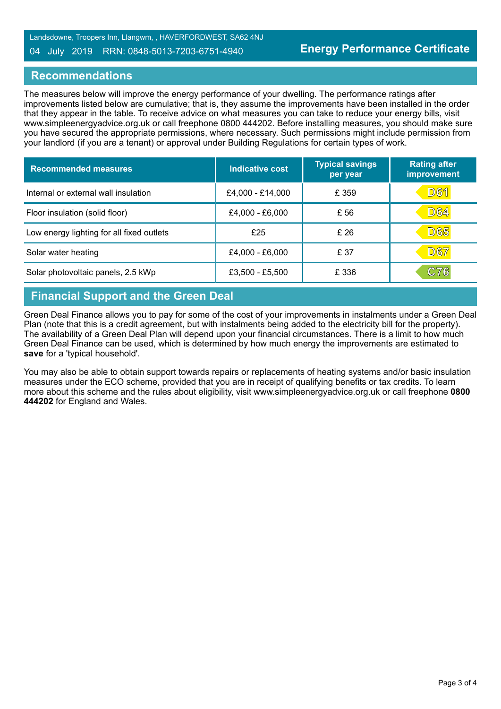#### 04 July 2019 RRN: 0848-5013-7203-6751-4940

## **Recommendations**

The measures below will improve the energy performance of your dwelling. The performance ratings after improvements listed below are cumulative; that is, they assume the improvements have been installed in the order that they appear in the table. To receive advice on what measures you can take to reduce your energy bills, visit www.simpleenergyadvice.org.uk or call freephone 0800 444202. Before installing measures, you should make sure you have secured the appropriate permissions, where necessary. Such permissions might include permission from your landlord (if you are a tenant) or approval under Building Regulations for certain types of work.

| <b>Recommended measures</b>               | Indicative cost  | <b>Typical savings</b><br>per year | <b>Rating after</b><br>improvement |
|-------------------------------------------|------------------|------------------------------------|------------------------------------|
| Internal or external wall insulation      | £4,000 - £14,000 | £ 359                              | <u>D61</u>                         |
| Floor insulation (solid floor)            | £4,000 - £6,000  | £ 56                               | D64                                |
| Low energy lighting for all fixed outlets | £25              | £26                                | D65                                |
| Solar water heating                       | £4,000 - £6,000  | £ 37                               | <b>D67</b>                         |
| Solar photovoltaic panels, 2.5 kWp        | £3,500 - £5,500  | £ 336                              | C76                                |

# **Financial Support and the Green Deal**

Green Deal Finance allows you to pay for some of the cost of your improvements in instalments under a Green Deal Plan (note that this is a credit agreement, but with instalments being added to the electricity bill for the property). The availability of a Green Deal Plan will depend upon your financial circumstances. There is a limit to how much Green Deal Finance can be used, which is determined by how much energy the improvements are estimated to **save** for a 'typical household'.

You may also be able to obtain support towards repairs or replacements of heating systems and/or basic insulation measures under the ECO scheme, provided that you are in receipt of qualifying benefits or tax credits. To learn more about this scheme and the rules about eligibility, visit www.simpleenergyadvice.org.uk or call freephone **0800 444202** for England and Wales.